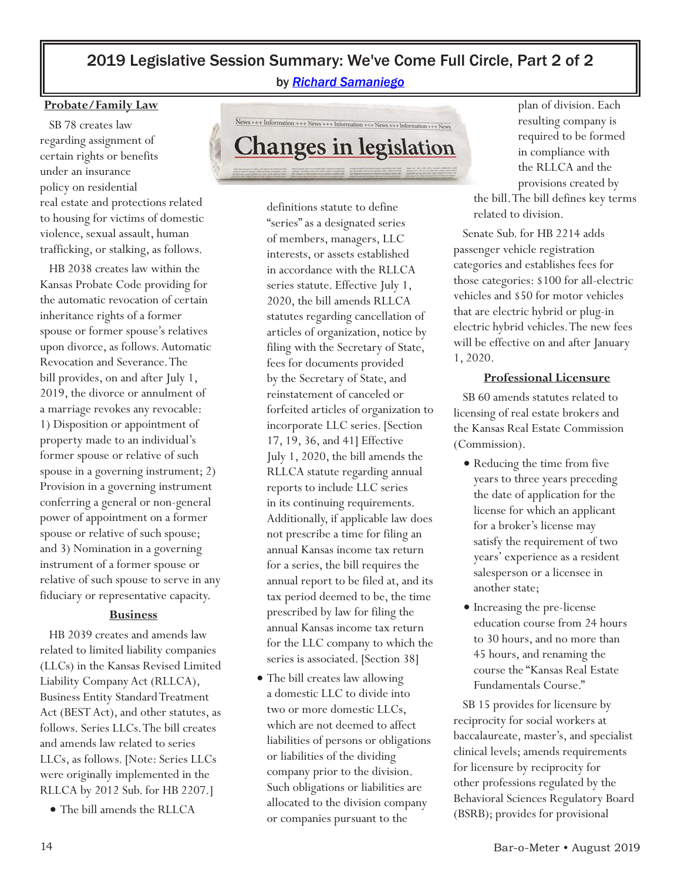# 2019 Legislative Session Summary: We've Come Full Circle, Part 2 of 2

by *[Richard Samaniego](mailto:Richard@gwmks.com)*

#### **Probate/Family Law**

 SB 78 creates law regarding assignment of certain rights or benefits under an insurance policy on residential real estate and protections related to housing for victims of domestic violence, sexual assault, human trafficking, or stalking, as follows.

 HB 2038 creates law within the Kansas Probate Code providing for the automatic revocation of certain inheritance rights of a former spouse or former spouse's relatives upon divorce, as follows. Automatic Revocation and Severance. The bill provides, on and after July 1, 2019, the divorce or annulment of a marriage revokes any revocable: 1) Disposition or appointment of property made to an individual's former spouse or relative of such spouse in a governing instrument; 2) Provision in a governing instrument conferring a general or non-general power of appointment on a former spouse or relative of such spouse; and 3) Nomination in a governing instrument of a former spouse or relative of such spouse to serve in any fiduciary or representative capacity.

#### **Business**

 HB 2039 creates and amends law related to limited liability companies (LLCs) in the Kansas Revised Limited Liability Company Act (RLLCA), Business Entity Standard Treatment Act (BEST Act), and other statutes, as follows. Series LLCs. The bill creates and amends law related to series LLCs, as follows. [Note: Series LLCs were originally implemented in the RLLCA by 2012 Sub. for HB 2207.]

• The bill amends the RLLCA



definitions statute to define "series" as a designated series of members, managers, LLC interests, or assets established in accordance with the RLLCA series statute. Effective July 1, 2020, the bill amends RLLCA statutes regarding cancellation of articles of organization, notice by filing with the Secretary of State, fees for documents provided by the Secretary of State, and reinstatement of canceled or forfeited articles of organization to incorporate LLC series. [Section 17, 19, 36, and 41] Effective July 1, 2020, the bill amends the RLLCA statute regarding annual reports to include LLC series in its continuing requirements. Additionally, if applicable law does not prescribe a time for filing an annual Kansas income tax return for a series, the bill requires the annual report to be filed at, and its tax period deemed to be, the time prescribed by law for filing the annual Kansas income tax return for the LLC company to which the series is associated. [Section 38]

• The bill creates law allowing a domestic LLC to divide into two or more domestic LLCs, which are not deemed to affect liabilities of persons or obligations or liabilities of the dividing company prior to the division. Such obligations or liabilities are allocated to the division company or companies pursuant to the

plan of division. Each resulting company is required to be formed in compliance with the RLLCA and the provisions created by

the bill. The bill defines key terms related to division.

 Senate Sub. for HB 2214 adds passenger vehicle registration categories and establishes fees for those categories: \$100 for all-electric vehicles and \$50 for motor vehicles that are electric hybrid or plug-in electric hybrid vehicles. The new fees will be effective on and after January 1, 2020.

#### **Professional Licensure**

 SB 60 amends statutes related to licensing of real estate brokers and the Kansas Real Estate Commission (Commission).

- Reducing the time from five years to three years preceding the date of application for the license for which an applicant for a broker's license may satisfy the requirement of two years' experience as a resident salesperson or a licensee in another state;
- Increasing the pre-license education course from 24 hours to 30 hours, and no more than 45 hours, and renaming the course the "Kansas Real Estate Fundamentals Course."

 SB 15 provides for licensure by reciprocity for social workers at baccalaureate, master's, and specialist clinical levels; amends requirements for licensure by reciprocity for other professions regulated by the Behavioral Sciences Regulatory Board (BSRB); provides for provisional